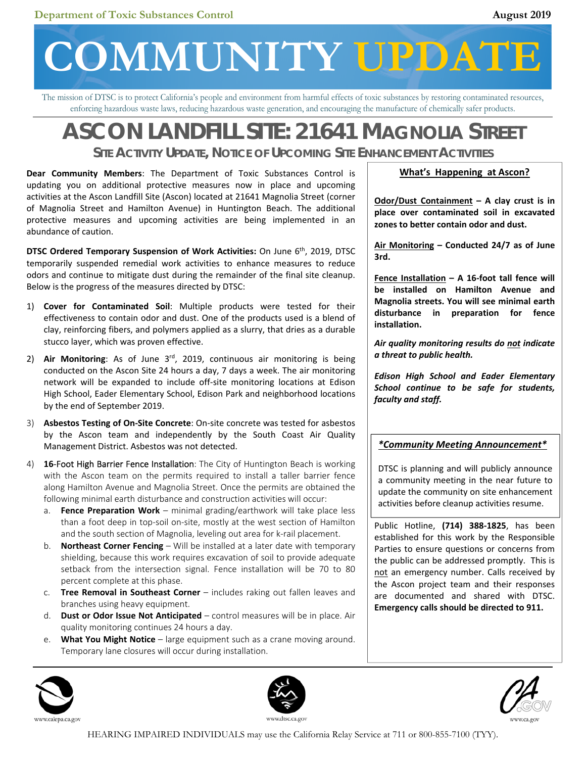# **COMMUNITY UPDATE**

The mission of DTSC is to protect California's people and environment from harmful effects of toxic substances by restoring contaminated resources, enforcing hazardous waste laws, reducing hazardous waste generation, and encouraging the manufacture of chemically safer products.

## **ASCON LANDFILL SITE: 21641 MAGNOLIA STREET**

**SITE ACTIVITY UPDATE, NOTICE OF UPCOMING SITE ENHANCEMENT ACTIVITIES**

**Dear Community Members**: The Department of Toxic Substances Control is updating you on additional protective measures now in place and upcoming activities at the Ascon Landfill Site (Ascon) located at 21641 Magnolia Street (corner of Magnolia Street and Hamilton Avenue) in Huntington Beach. The additional protective measures and upcoming activities are being implemented in an abundance of caution.

**DTSC Ordered Temporary Suspension of Work Activities:** On June 6<sup>th</sup>, 2019, DTSC temporarily suspended remedial work activities to enhance measures to reduce odors and continue to mitigate dust during the remainder of the final site cleanup. Below is the progress of the measures directed by DTSC:

- 1) **Cover for Contaminated Soil**: Multiple products were tested for their effectiveness to contain odor and dust. One of the products used is a blend of clay, reinforcing fibers, and polymers applied as a slurry, that dries as a durable stucco layer, which was proven effective.
- 2) **Air Monitoring**: As of June 3<sup>rd</sup>, 2019, continuous air monitoring is being conducted on the Ascon Site 24 hours a day, 7 days a week. The air monitoring network will be expanded to include off‐site monitoring locations at Edison High School, Eader Elementary School, Edison Park and neighborhood locations by the end of September 2019.
- 3) **Asbestos Testing of On‐Site Concrete**: On‐site concrete was tested for asbestos by the Ascon team and independently by the South Coast Air Quality Management District. Asbestos was not detected.
- 4) **16-Foot High Barrier Fence Installation**: The City of Huntington Beach is working with the Ascon team on the permits required to install a taller barrier fence along Hamilton Avenue and Magnolia Street. Once the permits are obtained the following minimal earth disturbance and construction activities will occur:
	- a. **Fence Preparation Work** minimal grading/earthwork will take place less than a foot deep in top‐soil on‐site, mostly at the west section of Hamilton and the south section of Magnolia, leveling out area for k-rail placement.
	- b. **Northeast Corner Fencing**  Will be installed at a later date with temporary shielding, because this work requires excavation of soil to provide adequate setback from the intersection signal. Fence installation will be 70 to 80 percent complete at this phase.
	- c. **Tree Removal in Southeast Corner**  includes raking out fallen leaves and branches using heavy equipment.
	- d. **Dust or Odor Issue Not Anticipated**  control measures will be in place. Air quality monitoring continues 24 hours a day.
	- e. **What You Might Notice** – large equipment such as a crane moving around. Temporary lane closures will occur during installation.

### **What's Happening at Ascon?**

**Odor/Dust Containment – A clay crust is in place over contaminated soil in excavated zones to better contain odor and dust.**

**Air Monitoring – Conducted 24/7 as of June 3rd.**

**Fence Installation – A 16‐foot tall fence will be installed on Hamilton Avenue and Magnolia streets. You will see minimal earth disturbance in preparation for fence installation.** 

*Air quality monitoring results do not indicate a threat to public health.* 

*Edison High School and Eader Elementary School continue to be safe for students, faculty and staff.* 

#### *\*Community Meeting Announcement\**

DTSC is planning and will publicly announce a community meeting in the near future to update the community on site enhancement activities before cleanup activities resume.

**24‐Hour Public HOTLINE**: A 24‐Hour NON‐

Public Hotline, **(714) 388‐1825**, has been established for this work by the Responsible Parties to ensure questions or concerns from the public can be addressed promptly. This is not an emergency number. Calls received by the Ascon project team and their responses are documented and shared with DTSC. **Emergency calls should be directed to 911.**